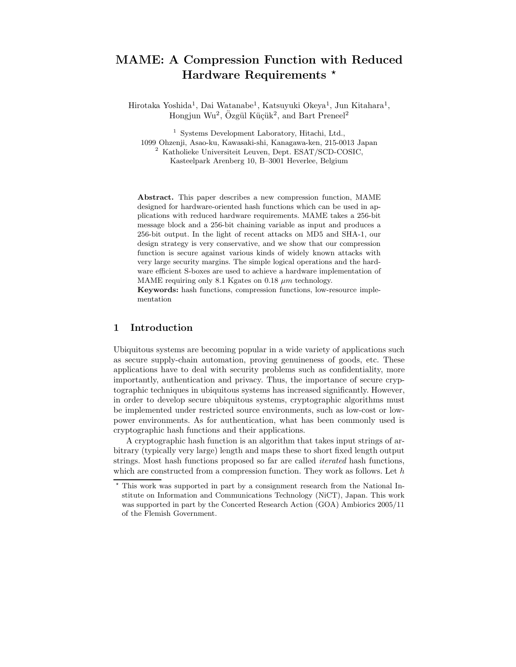# MAME: A Compression Function with Reduced Hardware Requirements \*

Hirotaka Yoshida<sup>1</sup>, Dai Watanabe<sup>1</sup>, Katsuyuki Okeya<sup>1</sup>, Jun Kitahara<sup>1</sup>, Hongjun Wu<sup>2</sup>, Özgül Küçük<sup>2</sup>, and Bart Preneel<sup>2</sup>

 Systems Development Laboratory, Hitachi, Ltd., Ohzenji, Asao-ku, Kawasaki-shi, Kanagawa-ken, 215-0013 Japan Katholieke Universiteit Leuven, Dept. ESAT/SCD-COSIC, Kasteelpark Arenberg 10, B–3001 Heverlee, Belgium

Abstract. This paper describes a new compression function, MAME designed for hardware-oriented hash functions which can be used in applications with reduced hardware requirements. MAME takes a 256-bit message block and a 256-bit chaining variable as input and produces a 256-bit output. In the light of recent attacks on MD5 and SHA-1, our design strategy is very conservative, and we show that our compression function is secure against various kinds of widely known attacks with very large security margins. The simple logical operations and the hardware efficient S-boxes are used to achieve a hardware implementation of MAME requiring only 8.1 Kgates on 0.18  $\mu$ m technology.

Keywords: hash functions, compression functions, low-resource implementation

## 1 Introduction

Ubiquitous systems are becoming popular in a wide variety of applications such as secure supply-chain automation, proving genuineness of goods, etc. These applications have to deal with security problems such as confidentiality, more importantly, authentication and privacy. Thus, the importance of secure cryptographic techniques in ubiquitous systems has increased significantly. However, in order to develop secure ubiquitous systems, cryptographic algorithms must be implemented under restricted source environments, such as low-cost or lowpower environments. As for authentication, what has been commonly used is cryptographic hash functions and their applications.

A cryptographic hash function is an algorithm that takes input strings of arbitrary (typically very large) length and maps these to short fixed length output strings. Most hash functions proposed so far are called iterated hash functions, which are constructed from a compression function. They work as follows. Let  $h$ 

<sup>?</sup> This work was supported in part by a consignment research from the National Institute on Information and Communications Technology (NiCT), Japan. This work was supported in part by the Concerted Research Action (GOA) Ambiorics 2005/11 of the Flemish Government.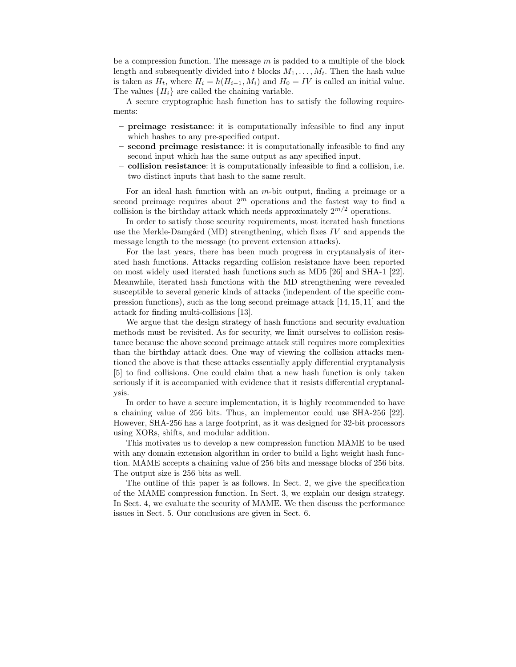be a compression function. The message  $m$  is padded to a multiple of the block length and subsequently divided into t blocks  $M_1, \ldots, M_t$ . Then the hash value is taken as  $H_t$ , where  $H_i = h(H_{i-1}, M_i)$  and  $H_0 = IV$  is called an initial value. The values  $\{H_i\}$  are called the chaining variable.

A secure cryptographic hash function has to satisfy the following requirements:

- preimage resistance: it is computationally infeasible to find any input which hashes to any pre-specified output.
- second preimage resistance: it is computationally infeasible to find any second input which has the same output as any specified input.
- collision resistance: it is computationally infeasible to find a collision, i.e. two distinct inputs that hash to the same result.

For an ideal hash function with an  $m$ -bit output, finding a preimage or a second preimage requires about  $2<sup>m</sup>$  operations and the fastest way to find a collision is the birthday attack which needs approximately  $2^{m/2}$  operations.

In order to satisfy those security requirements, most iterated hash functions use the Merkle-Damgård (MD) strengthening, which fixes  $IV$  and appends the message length to the message (to prevent extension attacks).

For the last years, there has been much progress in cryptanalysis of iterated hash functions. Attacks regarding collision resistance have been reported on most widely used iterated hash functions such as MD5 [26] and SHA-1 [22]. Meanwhile, iterated hash functions with the MD strengthening were revealed susceptible to several generic kinds of attacks (independent of the specific compression functions), such as the long second preimage attack [14, 15, 11] and the attack for finding multi-collisions [13].

We argue that the design strategy of hash functions and security evaluation methods must be revisited. As for security, we limit ourselves to collision resistance because the above second preimage attack still requires more complexities than the birthday attack does. One way of viewing the collision attacks mentioned the above is that these attacks essentially apply differential cryptanalysis [5] to find collisions. One could claim that a new hash function is only taken seriously if it is accompanied with evidence that it resists differential cryptanalysis.

In order to have a secure implementation, it is highly recommended to have a chaining value of 256 bits. Thus, an implementor could use SHA-256 [22]. However, SHA-256 has a large footprint, as it was designed for 32-bit processors using XORs, shifts, and modular addition.

This motivates us to develop a new compression function MAME to be used with any domain extension algorithm in order to build a light weight hash function. MAME accepts a chaining value of 256 bits and message blocks of 256 bits. The output size is 256 bits as well.

The outline of this paper is as follows. In Sect. 2, we give the specification of the MAME compression function. In Sect. 3, we explain our design strategy. In Sect. 4, we evaluate the security of MAME. We then discuss the performance issues in Sect. 5. Our conclusions are given in Sect. 6.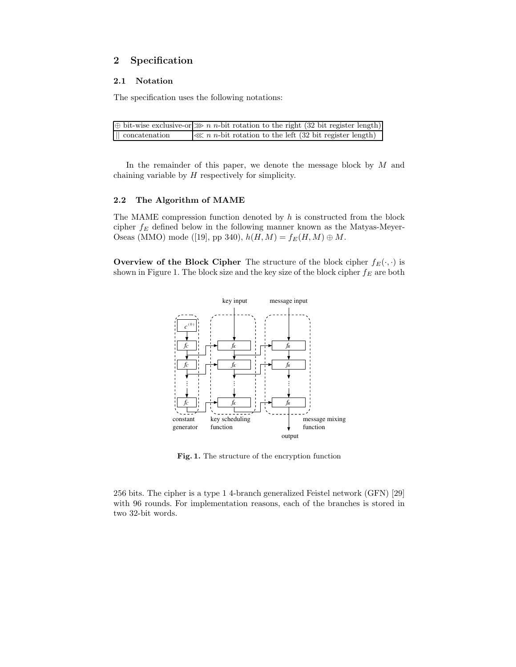## 2 Specification

## 2.1 Notation

The specification uses the following notations:

|                           | $\oplus$ bit-wise exclusive-or $\gg$ n n-bit rotation to the right (32 bit register length) |
|---------------------------|---------------------------------------------------------------------------------------------|
| $\parallel$ concatenation | $\ll n$ <i>n</i> -bit rotation to the left (32 bit register length)                         |

In the remainder of this paper, we denote the message block by  $M$  and chaining variable by H respectively for simplicity.

#### 2.2 The Algorithm of MAME

The MAME compression function denoted by  $h$  is constructed from the block cipher  $f_E$  defined below in the following manner known as the Matyas-Meyer-Oseas (MMO) mode ([19], pp 340),  $h(H, M) = f_E(H, M) \oplus M$ .

Overview of the Block Cipher The structure of the block cipher  $f_E(\cdot, \cdot)$  is shown in Figure 1. The block size and the key size of the block cipher  $f_E$  are both



Fig. 1. The structure of the encryption function

256 bits. The cipher is a type 1 4-branch generalized Feistel network (GFN) [29] with 96 rounds. For implementation reasons, each of the branches is stored in two 32-bit words.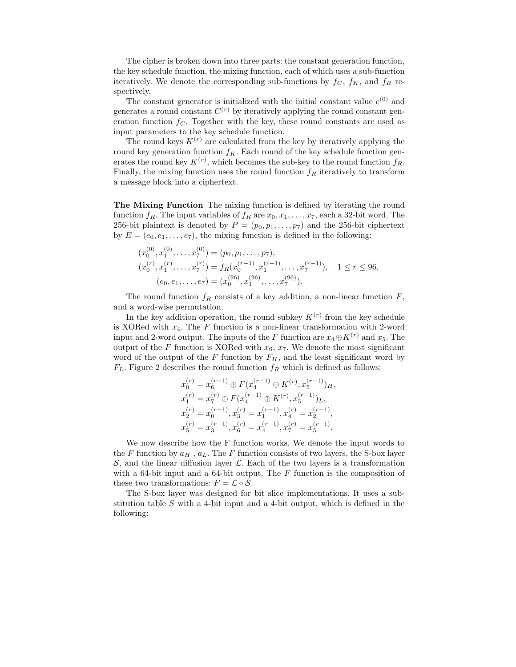The cipher is broken down into three parts: the constant generation function, the key schedule function, the mixing function, each of which uses a sub-function iteratively. We denote the corresponding sub-functions by  $f_C$ ,  $f_K$ , and  $f_R$  respectively.

The constant generator is initialized with the initial constant value  $c^{(0)}$  and generates a round constant  $C^{(r)}$  by iteratively applying the round constant generation function  $f<sub>C</sub>$ . Together with the key, these round constants are used as input parameters to the key schedule function.

The round keys  $K^{(r)}$  are calculated from the key by iteratively applying the round key generation function  $f_K$ . Each round of the key schedule function generates the round key  $K^{(r)}$ , which becomes the sub-key to the round function  $f_R$ . Finally, the mixing function uses the round function  $f_R$  iteratively to transform a message block into a ciphertext.

The Mixing Function The mixing function is defined by iterating the round function  $f_R$ . The input variables of  $f_R$  are  $x_0, x_1, \ldots, x_7$ , each a 32-bit word. The 256-bit plaintext is denoted by  $P = (p_0, p_1, \ldots, p_7)$  and the 256-bit ciphertext by  $E = (e_0, e_1, \ldots, e_7)$ , the mixing function is defined in the following:

$$
(x_0^{(0)}, x_1^{(0)}, \dots, x_7^{(0)}) = (p_0, p_1, \dots, p_7),
$$
  
\n
$$
(x_0^{(r)}, x_1^{(r)}, \dots, x_7^{(r)}) = f_R(x_0^{(r-1)}, x_1^{(r-1)}, \dots, x_7^{(r-1)}), \quad 1 \le r \le 96,
$$
  
\n
$$
(e_0, e_1, \dots, e_7) = (x_0^{(96)}, x_1^{(96)}, \dots, x_7^{(96)}).
$$

The round function  $f_R$  consists of a key addition, a non-linear function  $F$ , and a word-wise permutation.

In the key addition operation, the round subkey  $K^{(r)}$  from the key schedule is XORed with  $x_4$ . The F function is a non-linear transformation with 2-word input and 2-word output. The inputs of the F function are  $x_4 \oplus K^{(r)}$  and  $x_5$ . The output of the F function is XORed with  $x_6, x_7$ . We denote the most significant word of the output of the F function by  $F_H$ , and the least significant word by  $F<sub>L</sub>$ . Figure 2 describes the round function  $f<sub>R</sub>$  which is defined as follows:

$$
x_0^{(r)} = x_6^{(r-1)} \oplus F(x_4^{(r-1)} \oplus K^{(r)}, x_5^{(r-1)})_H,
$$
  
\n
$$
x_1^{(r)} = x_7^{(r)} \oplus F(x_4^{(r-1)} \oplus K^{(r)}, x_5^{(r-1)})_L,
$$
  
\n
$$
x_2^{(r)} = x_0^{(r-1)}, x_3^{(r)} = x_1^{(r-1)}, x_4^{(r)} = x_2^{(r-1)},
$$
  
\n
$$
x_5^{(r)} = x_3^{(r-1)}, x_6^{(r)} = x_4^{(r-1)}, x_7^{(r)} = x_5^{(r-1)}.
$$

We now describe how the F function works. We denote the input words to the F function by  $a_H$ ,  $a_L$ . The F function consists of two layers, the S-box layer  $S$ , and the linear diffusion layer  $\mathcal{L}$ . Each of the two layers is a transformation with a 64-bit input and a 64-bit output. The  $F$  function is the composition of these two transformations:  $F = \mathcal{L} \circ \mathcal{S}$ .

The S-box layer was designed for bit slice implementations. It uses a substitution table  $S$  with a 4-bit input and a 4-bit output, which is defined in the following: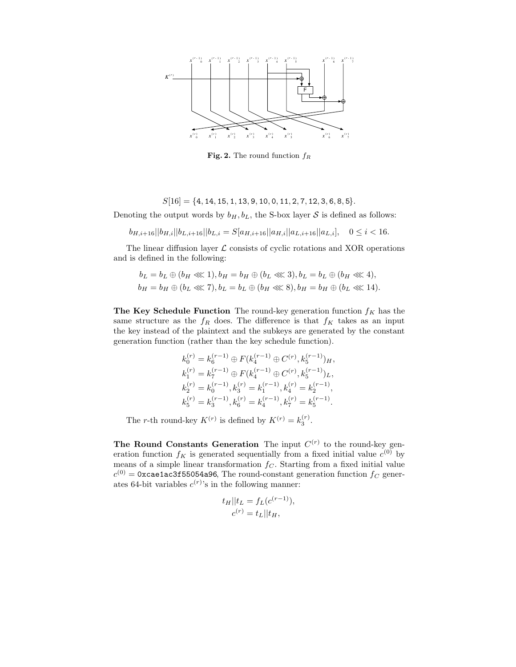

Fig. 2. The round function  $f_R$ 

## $S[16] = \{4, 14, 15, 1, 13, 9, 10, 0, 11, 2, 7, 12, 3, 6, 8, 5\}.$

Denoting the output words by  $b_H$ ,  $b_L$ , the S-box layer S is defined as follows:

$$
b_{H,i+16}||b_{H,i}||b_{L,i+16}||b_{L,i}=S[a_{H,i+16}||a_{H,i}||a_{L,i+16}||a_{L,i}], \quad 0 \le i < 16.
$$

The linear diffusion layer  $\mathcal L$  consists of cyclic rotations and XOR operations and is defined in the following:

$$
b_L = b_L \oplus (b_H \lll 1), b_H = b_H \oplus (b_L \lll 3), b_L = b_L \oplus (b_H \lll 4),
$$
  

$$
b_H = b_H \oplus (b_L \lll 7), b_L = b_L \oplus (b_H \lll 8), b_H = b_H \oplus (b_L \lll 14).
$$

**The Key Schedule Function** The round-key generation function  $f_K$  has the same structure as the  $f_R$  does. The difference is that  $f_K$  takes as an input the key instead of the plaintext and the subkeys are generated by the constant generation function (rather than the key schedule function).

$$
k_0^{(r)} = k_6^{(r-1)} \oplus F(k_4^{(r-1)} \oplus C^{(r)}, k_5^{(r-1)})_H,
$$
  
\n
$$
k_1^{(r)} = k_7^{(r-1)} \oplus F(k_4^{(r-1)} \oplus C^{(r)}, k_5^{(r-1)})_L,
$$
  
\n
$$
k_2^{(r)} = k_0^{(r-1)}, k_3^{(r)} = k_1^{(r-1)}, k_4^{(r)} = k_2^{(r-1)},
$$
  
\n
$$
k_5^{(r)} = k_3^{(r-1)}, k_6^{(r)} = k_4^{(r-1)}, k_7^{(r)} = k_5^{(r-1)}.
$$

The *r*-th round-key  $K^{(r)}$  is defined by  $K^{(r)} = k_3^{(r)}$ .

The Round Constants Generation The input  $C^{(r)}$  to the round-key generation function  $f_K$  is generated sequentially from a fixed initial value  $c^{(0)}$  by means of a simple linear transformation  $f<sub>C</sub>$ . Starting from a fixed initial value  $c^{(0)} =$  0xcae1ac3f55054a96, The round-constant generation function  $f_C$  generates 64-bit variables  $c^{(r)}$ 's in the following manner:

$$
t_H||t_L = f_L(c^{(r-1)}),
$$
  

$$
c^{(r)} = t_L||t_H,
$$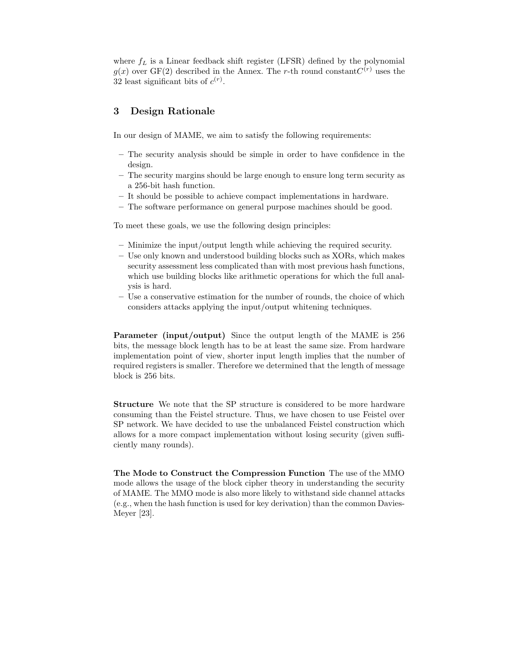where  $f_L$  is a Linear feedback shift register (LFSR) defined by the polynomial  $g(x)$  over GF(2) described in the Annex. The r-th round constant  $C^{(r)}$  uses the 32 least significant bits of  $c^{(r)}$ .

## 3 Design Rationale

In our design of MAME, we aim to satisfy the following requirements:

- The security analysis should be simple in order to have confidence in the design.
- The security margins should be large enough to ensure long term security as a 256-bit hash function.
- It should be possible to achieve compact implementations in hardware.
- The software performance on general purpose machines should be good.

To meet these goals, we use the following design principles:

- Minimize the input/output length while achieving the required security.
- Use only known and understood building blocks such as XORs, which makes security assessment less complicated than with most previous hash functions, which use building blocks like arithmetic operations for which the full analysis is hard.
- Use a conservative estimation for the number of rounds, the choice of which considers attacks applying the input/output whitening techniques.

Parameter (input/output) Since the output length of the MAME is 256 bits, the message block length has to be at least the same size. From hardware implementation point of view, shorter input length implies that the number of required registers is smaller. Therefore we determined that the length of message block is 256 bits.

Structure We note that the SP structure is considered to be more hardware consuming than the Feistel structure. Thus, we have chosen to use Feistel over SP network. We have decided to use the unbalanced Feistel construction which allows for a more compact implementation without losing security (given sufficiently many rounds).

The Mode to Construct the Compression Function The use of the MMO mode allows the usage of the block cipher theory in understanding the security of MAME. The MMO mode is also more likely to withstand side channel attacks (e.g., when the hash function is used for key derivation) than the common Davies-Meyer [23].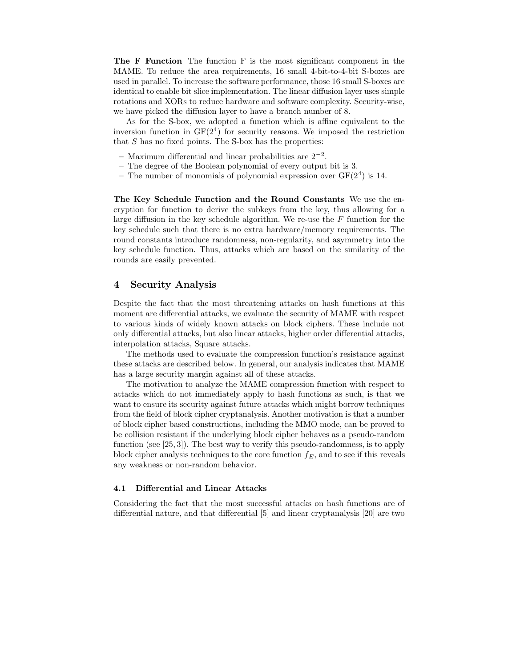The F Function The function F is the most significant component in the MAME. To reduce the area requirements, 16 small 4-bit-to-4-bit S-boxes are used in parallel. To increase the software performance, those 16 small S-boxes are identical to enable bit slice implementation. The linear diffusion layer uses simple rotations and XORs to reduce hardware and software complexity. Security-wise, we have picked the diffusion layer to have a branch number of 8.

As for the S-box, we adopted a function which is affine equivalent to the inversion function in  $GF(2<sup>4</sup>)$  for security reasons. We imposed the restriction that S has no fixed points. The S-box has the properties:

- $-$  Maximum differential and linear probabilities are  $2^{-2}$ .
- The degree of the Boolean polynomial of every output bit is 3.
- The number of monomials of polynomial expression over  $GF(2^4)$  is 14.

The Key Schedule Function and the Round Constants We use the encryption for function to derive the subkeys from the key, thus allowing for a large diffusion in the key schedule algorithm. We re-use the  $F$  function for the key schedule such that there is no extra hardware/memory requirements. The round constants introduce randomness, non-regularity, and asymmetry into the key schedule function. Thus, attacks which are based on the similarity of the rounds are easily prevented.

## 4 Security Analysis

Despite the fact that the most threatening attacks on hash functions at this moment are differential attacks, we evaluate the security of MAME with respect to various kinds of widely known attacks on block ciphers. These include not only differential attacks, but also linear attacks, higher order differential attacks, interpolation attacks, Square attacks.

The methods used to evaluate the compression function's resistance against these attacks are described below. In general, our analysis indicates that MAME has a large security margin against all of these attacks.

The motivation to analyze the MAME compression function with respect to attacks which do not immediately apply to hash functions as such, is that we want to ensure its security against future attacks which might borrow techniques from the field of block cipher cryptanalysis. Another motivation is that a number of block cipher based constructions, including the MMO mode, can be proved to be collision resistant if the underlying block cipher behaves as a pseudo-random function (see [25, 3]). The best way to verify this pseudo-randomness, is to apply block cipher analysis techniques to the core function  $f_E$ , and to see if this reveals any weakness or non-random behavior.

#### 4.1 Differential and Linear Attacks

Considering the fact that the most successful attacks on hash functions are of differential nature, and that differential [5] and linear cryptanalysis [20] are two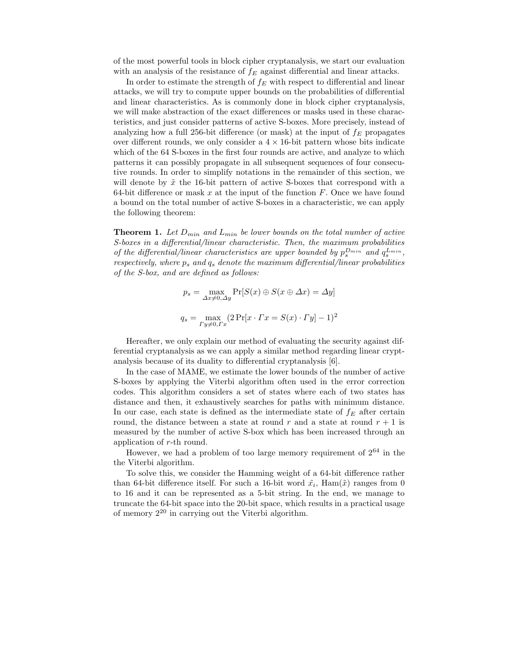of the most powerful tools in block cipher cryptanalysis, we start our evaluation with an analysis of the resistance of  $f_E$  against differential and linear attacks.

In order to estimate the strength of  $f_E$  with respect to differential and linear attacks, we will try to compute upper bounds on the probabilities of differential and linear characteristics. As is commonly done in block cipher cryptanalysis, we will make abstraction of the exact differences or masks used in these characteristics, and just consider patterns of active S-boxes. More precisely, instead of analyzing how a full 256-bit difference (or mask) at the input of  $f_E$  propagates over different rounds, we only consider a  $4 \times 16$ -bit pattern whose bits indicate which of the 64 S-boxes in the first four rounds are active, and analyze to which patterns it can possibly propagate in all subsequent sequences of four consecutive rounds. In order to simplify notations in the remainder of this section, we will denote by  $\tilde{x}$  the 16-bit pattern of active S-boxes that correspond with a 64-bit difference or mask x at the input of the function  $F$ . Once we have found a bound on the total number of active S-boxes in a characteristic, we can apply the following theorem:

**Theorem 1.** Let  $D_{min}$  and  $L_{min}$  be lower bounds on the total number of active S-boxes in a differential/linear characteristic. Then, the maximum probabilities of the differential/linear characteristics are upper bounded by  $p_s^{D_{min}}$  and  $q_s^{L_{min}}$ , respectively, where  $p_s$  and  $q_s$  denote the maximum differential/linear probabilities of the S-box, and are defined as follows:

$$
p_s = \max_{\Delta x \neq 0, \Delta y} \Pr[S(x) \oplus S(x \oplus \Delta x) = \Delta y]
$$

$$
q_s = \max_{\Gamma y \neq 0, \Gamma x} (2 \Pr[x \cdot \Gamma x = S(x) \cdot \Gamma y] - 1)^2
$$

Hereafter, we only explain our method of evaluating the security against differential cryptanalysis as we can apply a similar method regarding linear cryptanalysis because of its duality to differential cryptanalysis [6].

In the case of MAME, we estimate the lower bounds of the number of active S-boxes by applying the Viterbi algorithm often used in the error correction codes. This algorithm considers a set of states where each of two states has distance and then, it exhaustively searches for paths with minimum distance. In our case, each state is defined as the intermediate state of  $f_E$  after certain round, the distance between a state at round r and a state at round  $r + 1$  is measured by the number of active S-box which has been increased through an application of r-th round.

However, we had a problem of too large memory requirement of  $2^{64}$  in the the Viterbi algorithm.

To solve this, we consider the Hamming weight of a 64-bit difference rather than 64-bit difference itself. For such a 16-bit word  $\tilde{x_i}$ , Ham $(\tilde{x})$  ranges from 0 to 16 and it can be represented as a 5-bit string. In the end, we manage to truncate the 64-bit space into the 20-bit space, which results in a practical usage of memory 2 <sup>20</sup> in carrying out the Viterbi algorithm.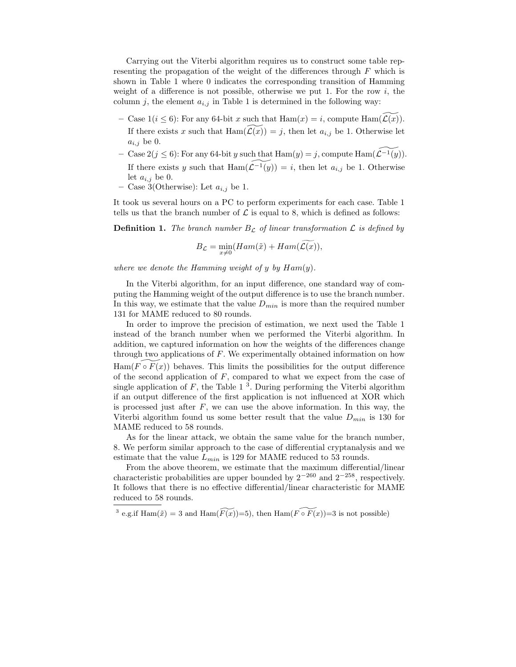Carrying out the Viterbi algorithm requires us to construct some table representing the propagation of the weight of the differences through  $F$  which is shown in Table 1 where 0 indicates the corresponding transition of Hamming weight of a difference is not possible, otherwise we put 1. For the row  $i$ , the column j, the element  $a_{i,j}$  in Table 1 is determined in the following way:

- Case  $1(i \leq 6)$ : For any 64-bit x such that  $\text{Ham}(x) = i$ , compute  $\text{Ham}(\mathcal{L}(x))$ . If there exists x such that  $\text{Ham}(\mathcal{L}(x)) = j$ , then let  $a_{i,j}$  be 1. Otherwise let  $a_{i,j}$  be 0.
- Case 2(j ≤ 6): For any 64-bit y such that Ham(y) = j, compute Ham( $\widetilde{\mathcal{L}^{-1}(y)}$ ). If there exists y such that  $\text{Ham}(\mathcal{L}^{-1}(y)) = i$ , then let  $a_{i,j}$  be 1. Otherwise let  $a_{i,j}$  be 0.
- Case 3(Otherwise): Let  $a_{i,j}$  be 1.

It took us several hours on a PC to perform experiments for each case. Table 1 tells us that the branch number of  $\mathcal L$  is equal to 8, which is defined as follows:

**Definition 1.** The branch number  $B_{\mathcal{L}}$  of linear transformation  $\mathcal{L}$  is defined by

$$
B_{\mathcal{L}} = \min_{x \neq 0} (Ham(\tilde{x}) + Ham(\tilde{\mathcal{L}(x)}),
$$

where we denote the Hamming weight of y by  $Ham(y)$ .

In the Viterbi algorithm, for an input difference, one standard way of computing the Hamming weight of the output difference is to use the branch number. In this way, we estimate that the value  $D_{min}$  is more than the required number 131 for MAME reduced to 80 rounds.

In order to improve the precision of estimation, we next used the Table 1 instead of the branch number when we performed the Viterbi algorithm. In addition, we captured information on how the weights of the differences change through two applications of F. We experimentally obtained information on how  $\text{Ham}(F \circ F(x))$  behaves. This limits the possibilities for the output difference of the second application of  $F$ , compared to what we expect from the case of single application of  $F$ , the Table 1<sup>3</sup>. During performing the Viterbi algorithm if an output difference of the first application is not influenced at XOR which is processed just after  $F$ , we can use the above information. In this way, the Viterbi algorithm found us some better result that the value  $D_{min}$  is 130 for MAME reduced to 58 rounds.

As for the linear attack, we obtain the same value for the branch number, 8. We perform similar approach to the case of differential cryptanalysis and we estimate that the value  $L_{min}$  is 129 for MAME reduced to 53 rounds.

From the above theorem, we estimate that the maximum differential/linear characteristic probabilities are upper bounded by  $2^{-260}$  and  $2^{-258}$ , respectively. It follows that there is no effective differential/linear characteristic for MAME reduced to 58 rounds.

<sup>3</sup> e.g.if Ham( $\tilde{x}$ ) = 3 and Ham( $\widetilde{F(x)}$ )=5), then Ham( $\widetilde{F \circ F(x)}$ )=3 is not possible)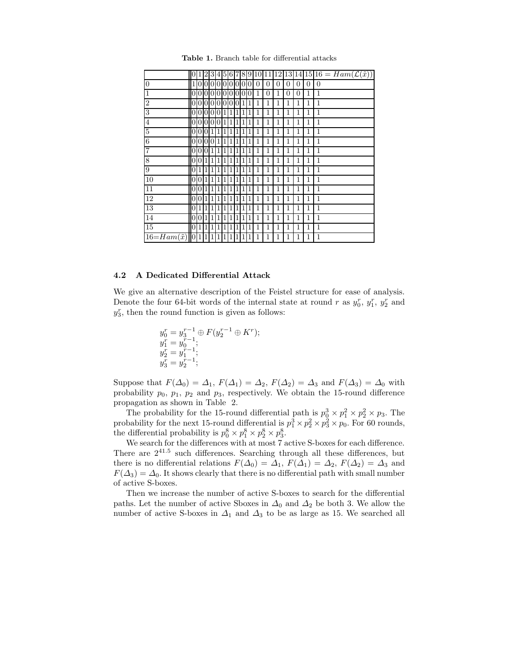|                            |                |                     |           |   |              |              |              |              |              |              |                |                |          |                |                |                | $0 1 2 3 4 5 6 7 8 9 10 11 12 13 14 15 16 = Ham(\mathcal{L}(\tilde{x}))$ |
|----------------------------|----------------|---------------------|-----------|---|--------------|--------------|--------------|--------------|--------------|--------------|----------------|----------------|----------|----------------|----------------|----------------|--------------------------------------------------------------------------|
| $\overline{0}$             |                | 1000000000000       |           |   |              |              |              |              |              |              | $\overline{0}$ | $\overline{0}$ | $\theta$ | $\theta$       | $\overline{0}$ | $\overline{0}$ | $\overline{0}$                                                           |
| $\mathbf{1}$               |                | lololololololololol |           |   |              |              |              |              |              |              | $\mathbf{1}$   | $\overline{0}$ | 1        | $\overline{0}$ | $\overline{0}$ | 1              | $\mathbf{1}$                                                             |
| $\overline{2}$             |                | 0000000001          |           |   |              |              |              |              |              | $\mathbf{1}$ | 1              | $\overline{1}$ | 1        | 1              | $\mathbf{1}$   | 1              | $\mathbf{1}$                                                             |
| $\overline{3}$             |                | 0 0 0 0 1           |           |   |              |              | $\mathbf{1}$ | 1            | 1            | 1            | 1              | 1              | 1        | 1              | 1              | 1              | $\mathbf{1}$                                                             |
| $\overline{4}$             |                | 1010101011          |           |   |              |              | 1            |              |              | 1            | 1              | 1              | 1        | $\mathbf{1}$   | 1              | 1              | $\mathbf{1}$                                                             |
| $\overline{5}$             |                | 0 0 0 1 1           |           |   |              | 1            | 1            |              | 1            | $\mathbf{1}$ | 1              | 1              | 1        | 1              | 1              | 1              | $\mathbf{1}$                                                             |
| $\,6$                      |                | 0 0 0 1             |           |   |              | (1)          | 1            | 1            | 1            | $\mathbf{1}$ | 1              | 1              | 1        | 1              | 1              | 1              | 1                                                                        |
| 7                          |                | 0001                |           |   |              | 1            |              |              |              | 1            | 1              | 1              | 1        | 1              | 1              | 1              | $\mathbf{1}$                                                             |
| 8                          |                | 0 <sub>0</sub> 1    |           |   |              |              |              |              |              | 1            | 1              | 1              | 1        | 1              | $\mathbf{1}$   | 1              | $\mathbf{1}$                                                             |
| $\overline{9}$             |                | 011                 |           |   |              |              |              |              |              | 1            | 1              | $\overline{1}$ | 1        | $\mathbf{1}$   | 1              | 1              | $\mathbf{1}$                                                             |
| 10                         |                | 0 0 1 1             |           |   |              |              |              |              |              | 1            | 1              | 1              | 1        | 1              | 1              | 1              | $\mathbf{1}$                                                             |
| $\overline{11}$            |                | 0 0 1 1             |           |   | 1            |              |              |              |              | 1            | 1              | 1              | 1        | 1              | 1              | 1              | $\mathbf{1}$                                                             |
| 12                         |                | 0 0 1 1             |           |   | $\mathbf{1}$ | $\vert$ 1    |              |              | 1            | 1            | 1              | 1              | 1        | 1              | 1              | 1              | $\mathbf{1}$                                                             |
| 13                         |                | 011111              |           |   |              | 1            | $\mathbf{1}$ | $\mathbf{1}$ | $\mathbf{1}$ | 1            | 1              | 1              | 1        | 1              | 1              | 1              | $\mathbf{1}$                                                             |
| $\overline{14}$            |                | 0011                |           |   | $\vert$ 1    | $\mathbf{1}$ | $\mathbf{1}$ | 1            | 1            | 1            | 1              | 1              | 1        | 1              | 1              | 1              | $\mathbf{1}$                                                             |
| $\overline{15}$            | 0 <sub>1</sub> |                     | $\vert$ 1 | 1 | 1            | 1            | 1            |              | 1            | 1            | 1              | 1              | 1        | 1              | $\mathbf{1}$   | 1              | $\mathbf{1}$                                                             |
| $16=Ham(\tilde{x})  0 1 1$ |                |                     |           |   |              |              |              |              |              |              | 1              | 1              | 1        | 1              | 1              | 1              | 1                                                                        |

Table 1. Branch table for differential attacks

#### 4.2 A Dedicated Differential Attack

We give an alternative description of the Feistel structure for ease of analysis. Denote the four 64-bit words of the internal state at round r as  $y_0^r$ ,  $y_1^r$ ,  $y_2^r$  and  $y_3^r$ , then the round function is given as follows:

$$
y_0^r = y_0^{r-1} \oplus F(y_2^{r-1} \oplus K^r);
$$
  
\n
$$
y_1^r = y_0^{r-1};
$$
  
\n
$$
y_2^r = y_1^{r-1};
$$
  
\n
$$
y_3^r = y_2^{r-1};
$$

Suppose that  $F(\Delta_0) = \Delta_1$ ,  $F(\Delta_1) = \Delta_2$ ,  $F(\Delta_2) = \Delta_3$  and  $F(\Delta_3) = \Delta_0$  with probability  $p_0$ ,  $p_1$ ,  $p_2$  and  $p_3$ , respectively. We obtain the 15-round difference propagation as shown in Table 2.

The probability for the 15-round differential path is  $p_0^3 \times p_1^2 \times p_2^2 \times p_3$ . The probability for the next 15-round differential is  $p_1^3 \times p_2^2 \times p_3^2 \times p_0$ . For 60 rounds, the differential probability is  $p_0^8 \times p_1^8 \times p_2^8 \times p_3^8$ .

We search for the differences with at most 7 active S-boxes for each difference. There are  $2^{41.5}$  such differences. Searching through all these differences, but there is no differential relations  $F(\Delta_0) = \Delta_1$ ,  $F(\Delta_1) = \Delta_2$ ,  $F(\Delta_2) = \Delta_3$  and  $F(\Delta_3) = \Delta_0$ . It shows clearly that there is no differential path with small number of active S-boxes.

Then we increase the number of active S-boxes to search for the differential paths. Let the number of active Sboxes in  $\Delta_0$  and  $\Delta_2$  be both 3. We allow the number of active S-boxes in  $\Delta_1$  and  $\Delta_3$  to be as large as 15. We searched all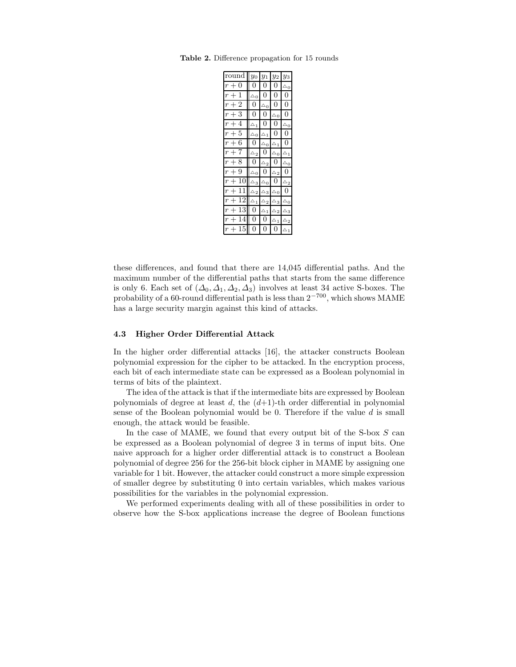| round                  | $y_0$ $y_1$        |                    | $y_2$            | $y_3$          |
|------------------------|--------------------|--------------------|------------------|----------------|
| 0<br>r                 | 0                  | 0                  | 0                | $\triangle_0$  |
| $r +$                  | $\triangle_0$      | 0                  | 0                | $\theta$       |
| $r+2$                  | 0                  | $\triangle_0$      | 0                | 0              |
| $+3$<br>$\overline{r}$ | 0                  | 0                  | $\triangle_0$    | 0              |
| 4<br>r<br>$^+$         | $\triangle_1$      | 0                  | 0                | $\triangle_0$  |
| -5<br>$r +$            | $\bigtriangleup_0$ | $\triangle_1$      | 0                | $\bf{0}$       |
| $r+6$                  | l 0                | $\triangle_0$      | $\triangle_1$    | $\overline{0}$ |
| $r+7$                  | $\triangle_2$      | $\overline{0}$     | $\triangle_0$    | $\triangle_1$  |
| $+8$<br>r              | $\overline{0}$     | $\triangle_2$      | $\overline{0}$   | $\triangle_0$  |
| 9<br>$\boldsymbol{r}$  | $\Delta_0$         | $\mid 0 \rangle$   | $\triangle_2$    | 0              |
| $r +$                  | $\vartriangle_3$   | $\bigtriangleup_0$ | $\mid 0 \mid$    | $\triangle_2$  |
| - 11<br>$r +$          | $\triangle_2$      | $\triangle_3$      | $\triangle_0$    | $\theta$       |
| 12<br>$r +$            | $\triangle_1$      | $\triangle_2$      | $\triangle_3$    | $\triangle_0$  |
| 13<br>$r +$            | 11 O               | $\triangle_1$      | $\triangle_2$    | $\triangle_3$  |
| 14<br>$\,r\,$          | 0                  | $\overline{0}$     | $\vartriangle_1$ | $\triangle_2$  |
| 15<br>$\overline{r}$   | 0                  | 0                  | 0                | $\triangle_1$  |

Table 2. Difference propagation for 15 rounds

these differences, and found that there are 14,045 differential paths. And the maximum number of the differential paths that starts from the same difference is only 6. Each set of  $(\Delta_0, \Delta_1, \Delta_2, \Delta_3)$  involves at least 34 active S-boxes. The probability of a 60-round differential path is less than  $2^{-700}$ , which shows MAME has a large security margin against this kind of attacks.

### 4.3 Higher Order Differential Attack

In the higher order differential attacks [16], the attacker constructs Boolean polynomial expression for the cipher to be attacked. In the encryption process, each bit of each intermediate state can be expressed as a Boolean polynomial in terms of bits of the plaintext.

The idea of the attack is that if the intermediate bits are expressed by Boolean polynomials of degree at least d, the  $(d+1)$ -th order differential in polynomial sense of the Boolean polynomial would be 0. Therefore if the value  $d$  is small enough, the attack would be feasible.

In the case of MAME, we found that every output bit of the S-box S can be expressed as a Boolean polynomial of degree 3 in terms of input bits. One naive approach for a higher order differential attack is to construct a Boolean polynomial of degree 256 for the 256-bit block cipher in MAME by assigning one variable for 1 bit. However, the attacker could construct a more simple expression of smaller degree by substituting 0 into certain variables, which makes various possibilities for the variables in the polynomial expression.

We performed experiments dealing with all of these possibilities in order to observe how the S-box applications increase the degree of Boolean functions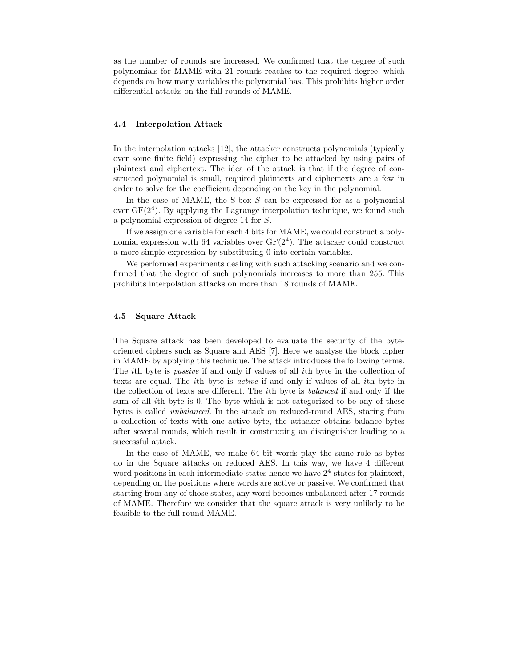as the number of rounds are increased. We confirmed that the degree of such polynomials for MAME with 21 rounds reaches to the required degree, which depends on how many variables the polynomial has. This prohibits higher order differential attacks on the full rounds of MAME.

#### 4.4 Interpolation Attack

In the interpolation attacks [12], the attacker constructs polynomials (typically over some finite field) expressing the cipher to be attacked by using pairs of plaintext and ciphertext. The idea of the attack is that if the degree of constructed polynomial is small, required plaintexts and ciphertexts are a few in order to solve for the coefficient depending on the key in the polynomial.

In the case of MAME, the S-box  $S$  can be expressed for as a polynomial over  $GF(2<sup>4</sup>)$ . By applying the Lagrange interpolation technique, we found such a polynomial expression of degree 14 for S.

If we assign one variable for each 4 bits for MAME, we could construct a polynomial expression with 64 variables over  $GF(2<sup>4</sup>)$ . The attacker could construct a more simple expression by substituting 0 into certain variables.

We performed experiments dealing with such attacking scenario and we confirmed that the degree of such polynomials increases to more than 255. This prohibits interpolation attacks on more than 18 rounds of MAME.

#### 4.5 Square Attack

The Square attack has been developed to evaluate the security of the byteoriented ciphers such as Square and AES [7]. Here we analyse the block cipher in MAME by applying this technique. The attack introduces the following terms. The ith byte is passive if and only if values of all ith byte in the collection of texts are equal. The ith byte is active if and only if values of all ith byte in the collection of texts are different. The ith byte is balanced if and only if the sum of all ith byte is 0. The byte which is not categorized to be any of these bytes is called unbalanced. In the attack on reduced-round AES, staring from a collection of texts with one active byte, the attacker obtains balance bytes after several rounds, which result in constructing an distinguisher leading to a successful attack.

In the case of MAME, we make 64-bit words play the same role as bytes do in the Square attacks on reduced AES. In this way, we have 4 different word positions in each intermediate states hence we have  $2<sup>4</sup>$  states for plaintext, depending on the positions where words are active or passive. We confirmed that starting from any of those states, any word becomes unbalanced after 17 rounds of MAME. Therefore we consider that the square attack is very unlikely to be feasible to the full round MAME.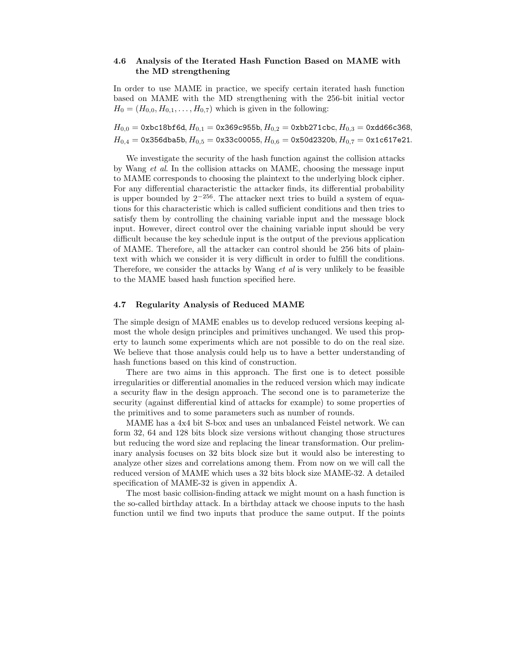#### 4.6 Analysis of the Iterated Hash Function Based on MAME with the MD strengthening

In order to use MAME in practice, we specify certain iterated hash function based on MAME with the MD strengthening with the 256-bit initial vector  $H_0 = (H_{0,0}, H_{0,1}, \ldots, H_{0,7})$  which is given in the following:

 $H_{0,0} = 0$ xbc18bf6d,  $H_{0,1} = 0$ x369c955b,  $H_{0,2} = 0$ xbb271cbc,  $H_{0,3} = 0$ xdd66c368,  $H_{0,4} = 0$ x356dba5b,  $H_{0,5} = 0$ x33c00055,  $H_{0,6} = 0$ x50d2320b,  $H_{0,7} = 0$ x1c617e21.

We investigate the security of the hash function against the collision attacks by Wang et al. In the collision attacks on MAME, choosing the message input to MAME corresponds to choosing the plaintext to the underlying block cipher. For any differential characteristic the attacker finds, its differential probability is upper bounded by  $2^{-256}$ . The attacker next tries to build a system of equations for this characteristic which is called sufficient conditions and then tries to satisfy them by controlling the chaining variable input and the message block input. However, direct control over the chaining variable input should be very difficult because the key schedule input is the output of the previous application of MAME. Therefore, all the attacker can control should be 256 bits of plaintext with which we consider it is very difficult in order to fulfill the conditions. Therefore, we consider the attacks by Wang *et al* is very unlikely to be feasible to the MAME based hash function specified here.

#### 4.7 Regularity Analysis of Reduced MAME

The simple design of MAME enables us to develop reduced versions keeping almost the whole design principles and primitives unchanged. We used this property to launch some experiments which are not possible to do on the real size. We believe that those analysis could help us to have a better understanding of hash functions based on this kind of construction.

There are two aims in this approach. The first one is to detect possible irregularities or differential anomalies in the reduced version which may indicate a security flaw in the design approach. The second one is to parameterize the security (against differential kind of attacks for example) to some properties of the primitives and to some parameters such as number of rounds.

MAME has a 4x4 bit S-box and uses an unbalanced Feistel network. We can form 32, 64 and 128 bits block size versions without changing those structures but reducing the word size and replacing the linear transformation. Our preliminary analysis focuses on 32 bits block size but it would also be interesting to analyze other sizes and correlations among them. From now on we will call the reduced version of MAME which uses a 32 bits block size MAME-32. A detailed specification of MAME-32 is given in appendix A.

The most basic collision-finding attack we might mount on a hash function is the so-called birthday attack. In a birthday attack we choose inputs to the hash function until we find two inputs that produce the same output. If the points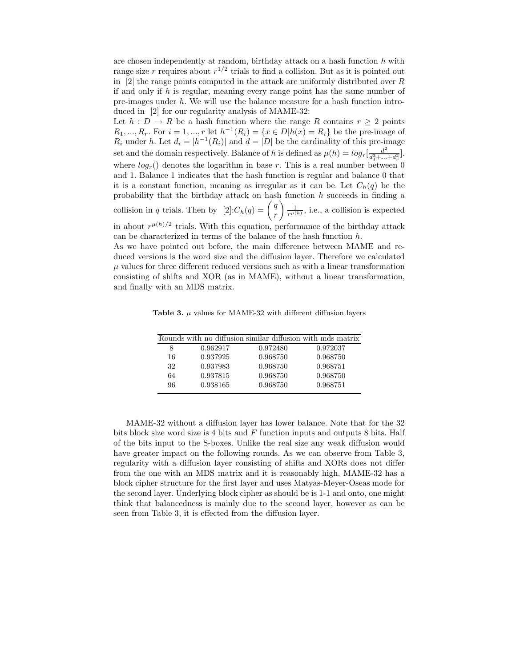are chosen independently at random, birthday attack on a hash function  $h$  with range size r requires about  $r^{1/2}$  trials to find a collision. But as it is pointed out in [2] the range points computed in the attack are uniformly distributed over  $R$ if and only if  $h$  is regular, meaning every range point has the same number of pre-images under h. We will use the balance measure for a hash function introduced in [2] for our regularity analysis of MAME-32:

Let  $h : D \to R$  be a hash function where the range R contains  $r > 2$  points  $R_1, ..., R_r$ . For  $i = 1, ..., r$  let  $h^{-1}(R_i) = \{x \in D | h(x) = R_i\}$  be the pre-image of  $R_i$  under h. Let  $d_i = |h^{-1}(R_i)|$  and  $d = |D|$  be the cardinality of this pre-image set and the domain respectively. Balance of h is defined as  $\mu(h) = log_r \left[ \frac{d^2}{d^2 + 1} \right]$  $rac{d^2}{d_1^2 + ... + d_r^2}$ . where  $log<sub>r</sub>()$  denotes the logarithm in base r. This is a real number between 0 and 1. Balance 1 indicates that the hash function is regular and balance 0 that it is a constant function, meaning as irregular as it can be. Let  $C_h(q)$  be the probability that the birthday attack on hash function  $h$  succeeds in finding a collision in q trials. Then by  $[2]:C_h(q) =$  $\int q$ r  $\left( \frac{1}{r^{\mu(h)}} \right)$ , i.e., a collision is expected in about  $r^{\mu(h)/2}$  trials. With this equation, performance of the birthday attack can be characterized in terms of the balance of the hash function  $h$ .

As we have pointed out before, the main difference between MAME and reduced versions is the word size and the diffusion layer. Therefore we calculated  $\mu$  values for three different reduced versions such as with a linear transformation consisting of shifts and XOR (as in MAME), without a linear transformation, and finally with an MDS matrix.

Table 3.  $\mu$  values for MAME-32 with different diffusion layers

|    |          |          | Rounds with no diffusion similar diffusion with mds matrix |
|----|----------|----------|------------------------------------------------------------|
|    | 0.962917 | 0.972480 | 0.972037                                                   |
| 16 | 0.937925 | 0.968750 | 0.968750                                                   |
| 32 | 0.937983 | 0.968750 | 0.968751                                                   |
| 64 | 0.937815 | 0.968750 | 0.968750                                                   |
| 96 | 0.938165 | 0.968750 | 0.968751                                                   |

MAME-32 without a diffusion layer has lower balance. Note that for the 32 bits block size word size is 4 bits and  $F$  function inputs and outputs 8 bits. Half of the bits input to the S-boxes. Unlike the real size any weak diffusion would have greater impact on the following rounds. As we can observe from Table 3, regularity with a diffusion layer consisting of shifts and XORs does not differ from the one with an MDS matrix and it is reasonably high. MAME-32 has a block cipher structure for the first layer and uses Matyas-Meyer-Oseas mode for the second layer. Underlying block cipher as should be is 1-1 and onto, one might think that balancedness is mainly due to the second layer, however as can be seen from Table 3, it is effected from the diffusion layer.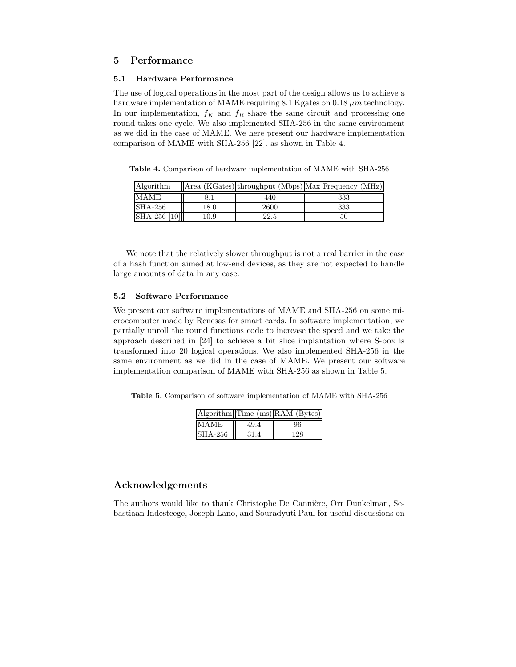## 5 Performance

### 5.1 Hardware Performance

The use of logical operations in the most part of the design allows us to achieve a hardware implementation of MAME requiring 8.1 Kgates on 0.18  $\mu$ m technology. In our implementation,  $f_K$  and  $f_R$  share the same circuit and processing one round takes one cycle. We also implemented SHA-256 in the same environment as we did in the case of MAME. We here present our hardware implementation comparison of MAME with SHA-256 [22]. as shown in Table 4.

Table 4. Comparison of hardware implementation of MAME with SHA-256

| Algorithm      |      |          | Area (KGates) throughput (Mbps) Max Frequency (MHz) |
|----------------|------|----------|-----------------------------------------------------|
| <b>MAME</b>    |      | 440      | 333                                                 |
| $SHA-256$      | 18.0 | 2600     | 333                                                 |
| $SHA-256$ [10] | 10.9 | $22.5\,$ | 50                                                  |

We note that the relatively slower throughput is not a real barrier in the case of a hash function aimed at low-end devices, as they are not expected to handle large amounts of data in any case.

## 5.2 Software Performance

We present our software implementations of MAME and SHA-256 on some microcomputer made by Renesas for smart cards. In software implementation, we partially unroll the round functions code to increase the speed and we take the approach described in [24] to achieve a bit slice implantation where S-box is transformed into 20 logical operations. We also implemented SHA-256 in the same environment as we did in the case of MAME. We present our software implementation comparison of MAME with SHA-256 as shown in Table 5.

Table 5. Comparison of software implementation of MAME with SHA-256

|                |      | $\text{Algorithm}$ Time (ms) RAM (Bytes) |
|----------------|------|------------------------------------------|
| <b>MAME</b>    | 49.4 | 96                                       |
| <b>SHA-256</b> | 31.4 | 128                                      |

## Acknowledgements

The authors would like to thank Christophe De Cannière, Orr Dunkelman, Sebastiaan Indesteege, Joseph Lano, and Souradyuti Paul for useful discussions on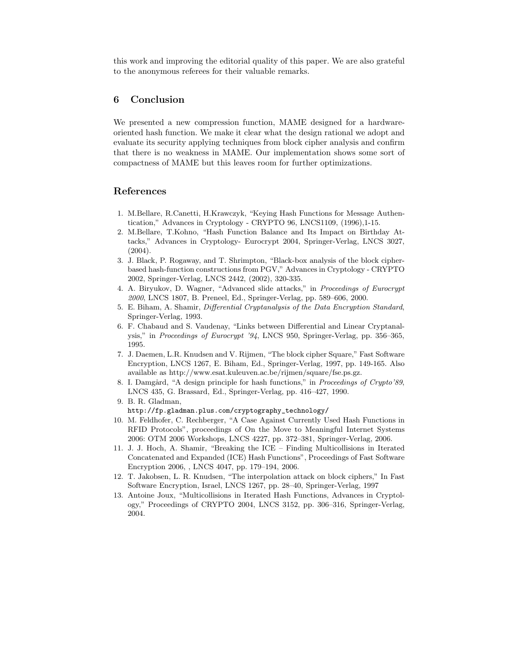this work and improving the editorial quality of this paper. We are also grateful to the anonymous referees for their valuable remarks.

## 6 Conclusion

We presented a new compression function, MAME designed for a hardwareoriented hash function. We make it clear what the design rational we adopt and evaluate its security applying techniques from block cipher analysis and confirm that there is no weakness in MAME. Our implementation shows some sort of compactness of MAME but this leaves room for further optimizations.

### References

- 1. M.Bellare, R.Canetti, H.Krawczyk, "Keying Hash Functions for Message Authentication," Advances in Cryptology - CRYPTO 96, LNCS1109, (1996),1-15.
- 2. M.Bellare, T.Kohno, "Hash Function Balance and Its Impact on Birthday Attacks," Advances in Cryptology- Eurocrypt 2004, Springer-Verlag, LNCS 3027,  $(2004).$
- 3. J. Black, P. Rogaway, and T. Shrimpton, "Black-box analysis of the block cipherbased hash-function constructions from PGV," Advances in Cryptology - CRYPTO 2002, Springer-Verlag, LNCS 2442, (2002), 320-335.
- 4. A. Biryukov, D. Wagner, "Advanced slide attacks," in Proceedings of Eurocrypt 2000, LNCS 1807, B. Preneel, Ed., Springer-Verlag, pp. 589–606, 2000.
- 5. E. Biham, A. Shamir, Differential Cryptanalysis of the Data Encryption Standard, Springer-Verlag, 1993.
- 6. F. Chabaud and S. Vaudenay, "Links between Differential and Linear Cryptanalysis," in Proceedings of Eurocrypt '94, LNCS 950, Springer-Verlag, pp. 356–365, 1995.
- 7. J. Daemen, L.R. Knudsen and V. Rijmen, "The block cipher Square," Fast Software Encryption, LNCS 1267, E. Biham, Ed., Springer-Verlag, 1997, pp. 149-165. Also available as http://www.esat.kuleuven.ac.be/rijmen/square/fse.ps.gz.
- 8. I. Damgård, "A design principle for hash functions," in *Proceedings of Crypto'89*. LNCS 435, G. Brassard, Ed., Springer-Verlag, pp. 416–427, 1990.
- 9. B. R. Gladman, http://fp.gladman.plus.com/cryptography\_technology/
- 10. M. Feldhofer, C. Rechberger, "A Case Against Currently Used Hash Functions in RFID Protocols", proceedings of On the Move to Meaningful Internet Systems 2006: OTM 2006 Workshops, LNCS 4227, pp. 372–381, Springer-Verlag, 2006.
- 11. J. J. Hoch, A. Shamir, "Breaking the ICE Finding Multicollisions in Iterated Concatenated and Expanded (ICE) Hash Functions", Proceedings of Fast Software Encryption 2006, , LNCS 4047, pp. 179–194, 2006.
- 12. T. Jakobsen, L. R. Knudsen, "The interpolation attack on block ciphers," In Fast Software Encryption, Israel, LNCS 1267, pp. 28–40, Springer-Verlag, 1997
- 13. Antoine Joux, "Multicollisions in Iterated Hash Functions, Advances in Cryptology," Proceedings of CRYPTO 2004, LNCS 3152, pp. 306–316, Springer-Verlag, 2004.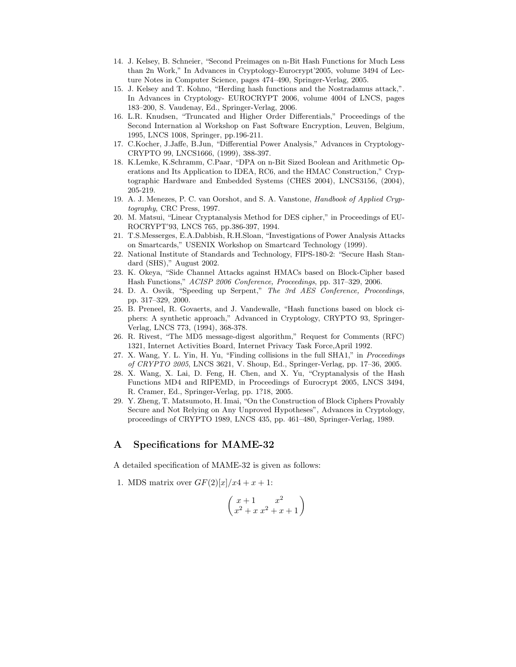- 14. J. Kelsey, B. Schneier, "Second Preimages on n-Bit Hash Functions for Much Less than 2n Work," In Advances in Cryptology-Eurocrypt'2005, volume 3494 of Lecture Notes in Computer Science, pages 474–490, Springer-Verlag, 2005.
- 15. J. Kelsey and T. Kohno, "Herding hash functions and the Nostradamus attack,". In Advances in Cryptology- EUROCRYPT 2006, volume 4004 of LNCS, pages 183–200, S. Vaudenay, Ed., Springer-Verlag, 2006.
- 16. L.R. Knudsen, "Truncated and Higher Order Differentials," Proceedings of the Second Internation al Workshop on Fast Software Encryption, Leuven, Belgium, 1995, LNCS 1008, Springer, pp.196-211.
- 17. C.Kocher, J.Jaffe, B.Jun, "Differential Power Analysis," Advances in Cryptology-CRYPTO 99, LNCS1666, (1999), 388-397.
- 18. K.Lemke, K.Schramm, C.Paar, "DPA on n-Bit Sized Boolean and Arithmetic Operations and Its Application to IDEA, RC6, and the HMAC Construction," Cryptographic Hardware and Embedded Systems (CHES 2004), LNCS3156, (2004), 205-219.
- 19. A. J. Menezes, P. C. van Oorshot, and S. A. Vanstone, Handbook of Applied Cryptography, CRC Press, 1997.
- 20. M. Matsui, "Linear Cryptanalysis Method for DES cipher," in Proceedings of EU-ROCRYPT'93, LNCS 765, pp.386-397, 1994.
- 21. T.S.Messerges, E.A.Dabbish, R.H.Sloan, "Investigations of Power Analysis Attacks on Smartcards," USENIX Workshop on Smartcard Technology (1999).
- 22. National Institute of Standards and Technology, FIPS-180-2: "Secure Hash Standard (SHS)," August 2002.
- 23. K. Okeya, "Side Channel Attacks against HMACs based on Block-Cipher based Hash Functions," ACISP 2006 Conference, Proceedings, pp. 317–329, 2006.
- 24. D. A. Osvik, "Speeding up Serpent," The 3rd AES Conference, Proceedings, pp. 317–329, 2000.
- 25. B. Preneel, R. Govaerts, and J. Vandewalle, "Hash functions based on block ciphers: A synthetic approach," Advanced in Cryptology, CRYPTO 93, Springer-Verlag, LNCS 773, (1994), 368-378.
- 26. R. Rivest, "The MD5 message-digest algorithm," Request for Comments (RFC) 1321, Internet Activities Board, Internet Privacy Task Force,April 1992.
- 27. X. Wang, Y. L. Yin, H. Yu, "Finding collisions in the full SHA1," in Proceedings of CRYPTO 2005, LNCS 3621, V. Shoup, Ed., Springer-Verlag, pp. 17–36, 2005.
- 28. X. Wang, X. Lai, D. Feng, H. Chen, and X. Yu, "Cryptanalysis of the Hash Functions MD4 and RIPEMD, in Proceedings of Eurocrypt 2005, LNCS 3494, R. Cramer, Ed., Springer-Verlag, pp. 1?18, 2005.
- 29. Y. Zheng, T. Matsumoto, H. Imai, "On the Construction of Block Ciphers Provably Secure and Not Relying on Any Unproved Hypotheses", Advances in Cryptology, proceedings of CRYPTO 1989, LNCS 435, pp. 461–480, Springer-Verlag, 1989.

## A Specifications for MAME-32

A detailed specification of MAME-32 is given as follows:

1. MDS matrix over  $GF(2)[x]/x4 + x + 1$ :

$$
\left(\begin{array}{c}\nx+1 & x^2 \\
x^2+x & x^2+x+1\n\end{array}\right)
$$